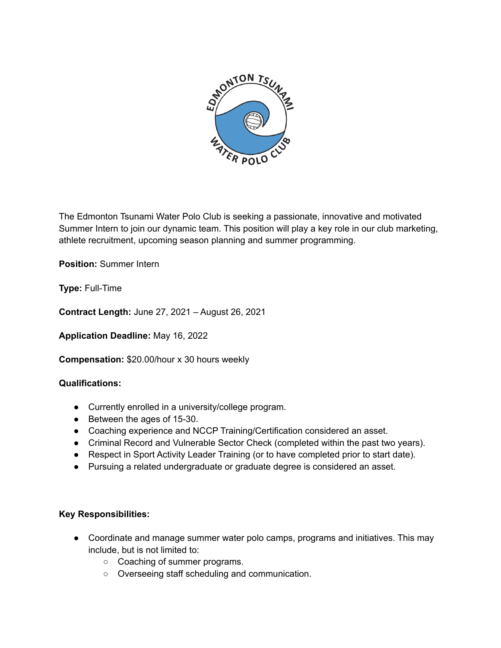

The Edmonton Tsunami Water Polo Club is seeking a passionate, innovative and motivated Summer Intern to join our dynamic team. This position will play a key role in our club marketing, athlete recruitment, upcoming season planning and summer programming.

**Position:** Summer Intern

**Type:** Full-Time

**Contract Length:** June 27, 2021 – August 26, 2021

**Application Deadline:** May 16, 2022

**Compensation:** \$20.00/hour x 30 hours weekly

## **Qualifications:**

- Currently enrolled in a university/college program.
- Between the ages of 15-30.
- Coaching experience and NCCP Training/Certification considered an asset.
- Criminal Record and Vulnerable Sector Check (completed within the past two years).
- Respect in Sport Activity Leader Training (or to have completed prior to start date).
- Pursuing a related undergraduate or graduate degree is considered an asset.

## **Key Responsibilities:**

- Coordinate and manage summer water polo camps, programs and initiatives. This may include, but is not limited to:
	- Coaching of summer programs.
	- Overseeing staff scheduling and communication.